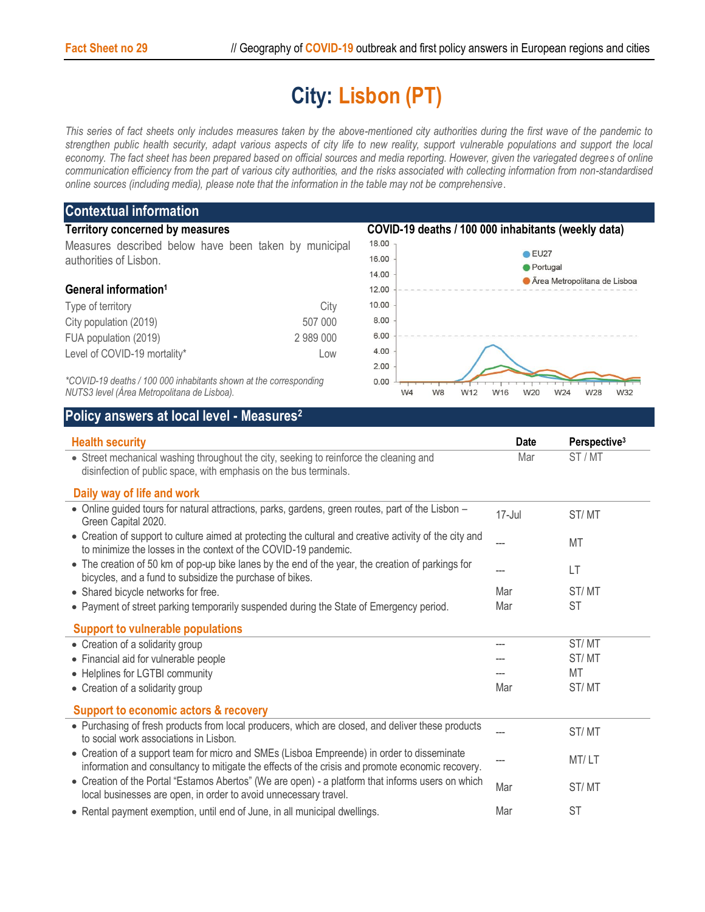## **City: Lisbon (PT)**

*This series of fact sheets only includes measures taken by the above-mentioned city authorities during the first wave of the pandemic to strengthen public health security, adapt various aspects of city life to new reality, support vulnerable populations and support the local economy. The fact sheet has been prepared based on official sources and media reporting. However, given the variegated degrees of online communication efficiency from the part of various city authorities, and the risks associated with collecting information from non-standardised online sources (including media), please note that the information in the table may not be comprehensive*.

## **Contextual information Territory concerned by measures COVID-19 deaths / 100 000 inhabitants (weekly data)** 18.00 Measures described below have been taken by municipal  $\bullet$  EU27 16.00 authorities of Lisbon. Portugal 14.00 **Area Metropolitana de Lisboa General information<sup>1</sup>** 12.00 Type of territory and the control of the City City 10.00 8.00 City population (2019) 507 000 6.00 FUA population (2019) 2 989 000 4.00 Level of COVID-19 mortality\* Low 2.00 *\*COVID-19 deaths / 100 000 inhabitants shown at the corresponding*   $0.00$ *NUTS3 level (Área Metropolitana de Lisboa).* W4 W8 W12 W16 W20 W24 W28 W32

## **Policy answers at local level - Measures<sup>2</sup>**

| <b>Health security</b>                                                                                                                                                                         | <b>Date</b> | Perspective <sup>3</sup> |
|------------------------------------------------------------------------------------------------------------------------------------------------------------------------------------------------|-------------|--------------------------|
| Mar<br>• Street mechanical washing throughout the city, seeking to reinforce the cleaning and<br>disinfection of public space, with emphasis on the bus terminals.                             |             | ST/MT                    |
| Daily way of life and work                                                                                                                                                                     |             |                          |
| • Online guided tours for natural attractions, parks, gardens, green routes, part of the Lisbon -<br>Green Capital 2020.                                                                       | $17 -$ Jul  | ST/MT                    |
| • Creation of support to culture aimed at protecting the cultural and creative activity of the city and<br>to minimize the losses in the context of the COVID-19 pandemic.                     |             | MT                       |
| • The creation of 50 km of pop-up bike lanes by the end of the year, the creation of parkings for<br>bicycles, and a fund to subsidize the purchase of bikes.                                  | ---         | LT                       |
| • Shared bicycle networks for free.                                                                                                                                                            | Mar         | ST/MT                    |
| • Payment of street parking temporarily suspended during the State of Emergency period.                                                                                                        | Mar         | <b>ST</b>                |
| <b>Support to vulnerable populations</b>                                                                                                                                                       |             |                          |
| • Creation of a solidarity group                                                                                                                                                               |             | ST/MT                    |
| • Financial aid for vulnerable people                                                                                                                                                          |             | ST/MT                    |
| • Helplines for LGTBI community                                                                                                                                                                |             | MT                       |
| • Creation of a solidarity group                                                                                                                                                               | Mar         | ST/MT                    |
| <b>Support to economic actors &amp; recovery</b>                                                                                                                                               |             |                          |
| • Purchasing of fresh products from local producers, which are closed, and deliver these products<br>to social work associations in Lisbon.                                                    |             | ST/MT                    |
| • Creation of a support team for micro and SMEs (Lisboa Empreende) in order to disseminate<br>information and consultancy to mitigate the effects of the crisis and promote economic recovery. |             | MT/LT                    |
| • Creation of the Portal "Estamos Abertos" (We are open) - a platform that informs users on which<br>local businesses are open, in order to avoid unnecessary travel.                          | Mar         | ST/MT                    |
| • Rental payment exemption, until end of June, in all municipal dwellings.                                                                                                                     | Mar         | <b>ST</b>                |